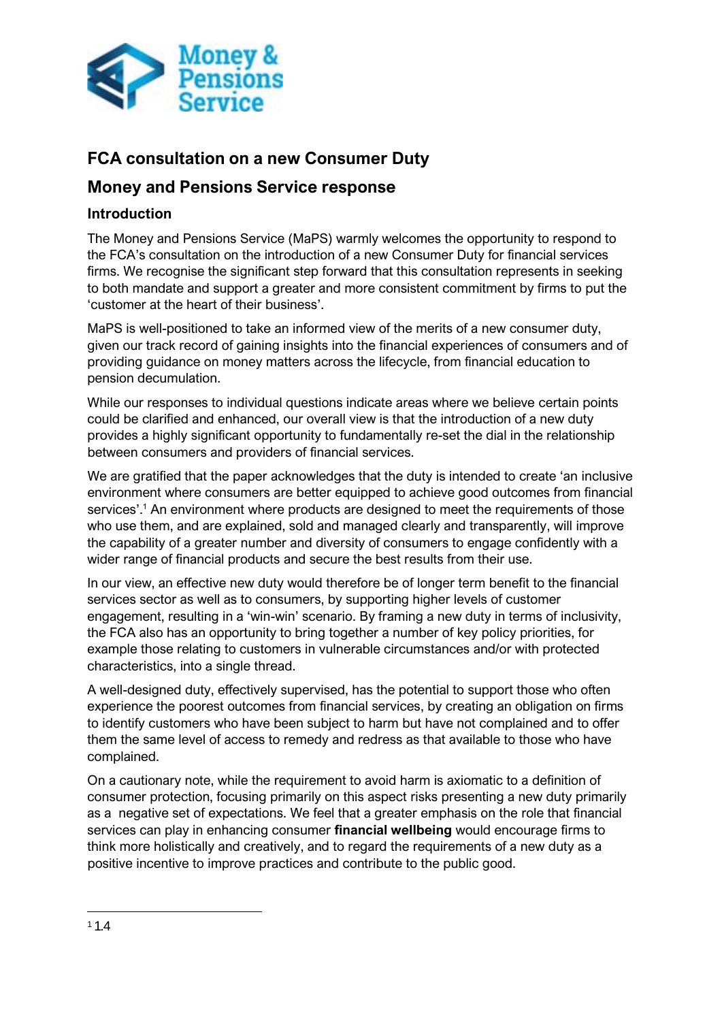

# **FCA consultation on a new Consumer Duty**

# **Money and Pensions Service response**

## **Introduction**

The Money and Pensions Service (MaPS) warmly welcomes the opportunity to respond to the FCA's consultation on the introduction of a new Consumer Duty for financial services firms. We recognise the significant step forward that this consultation represents in seeking to both mandate and support a greater and more consistent commitment by firms to put the 'customer at the heart of their business'.

MaPS is well-positioned to take an informed view of the merits of a new consumer duty, given our track record of gaining insights into the financial experiences of consumers and of providing guidance on money matters across the lifecycle, from financial education to pension decumulation.

While our responses to individual questions indicate areas where we believe certain points could be clarified and enhanced, our overall view is that the introduction of a new duty provides a highly significant opportunity to fundamentally re-set the dial in the relationship between consumers and providers of financial services.

We are gratified that the paper acknowledges that the duty is intended to create 'an inclusive environment where consumers are better equipped to achieve good outcomes from financial services'.<sup>1</sup> An environment where products are designed to meet the requirements of those who use them, and are explained, sold and managed clearly and transparently, will improve the capability of a greater number and diversity of consumers to engage confidently with a wider range of financial products and secure the best results from their use.

In our view, an effective new duty would therefore be of longer term benefit to the financial services sector as well as to consumers, by supporting higher levels of customer engagement, resulting in a 'win-win' scenario. By framing a new duty in terms of inclusivity, the FCA also has an opportunity to bring together a number of key policy priorities, for example those relating to customers in vulnerable circumstances and/or with protected characteristics, into a single thread.

A well-designed duty, effectively supervised, has the potential to support those who often experience the poorest outcomes from financial services, by creating an obligation on firms to identify customers who have been subject to harm but have not complained and to offer them the same level of access to remedy and redress as that available to those who have complained.

On a cautionary note, while the requirement to avoid harm is axiomatic to a definition of consumer protection, focusing primarily on this aspect risks presenting a new duty primarily as a negative set of expectations. We feel that a greater emphasis on the role that financial services can play in enhancing consumer **financial wellbeing** would encourage firms to think more holistically and creatively, and to regard the requirements of a new duty as a positive incentive to improve practices and contribute to the public good.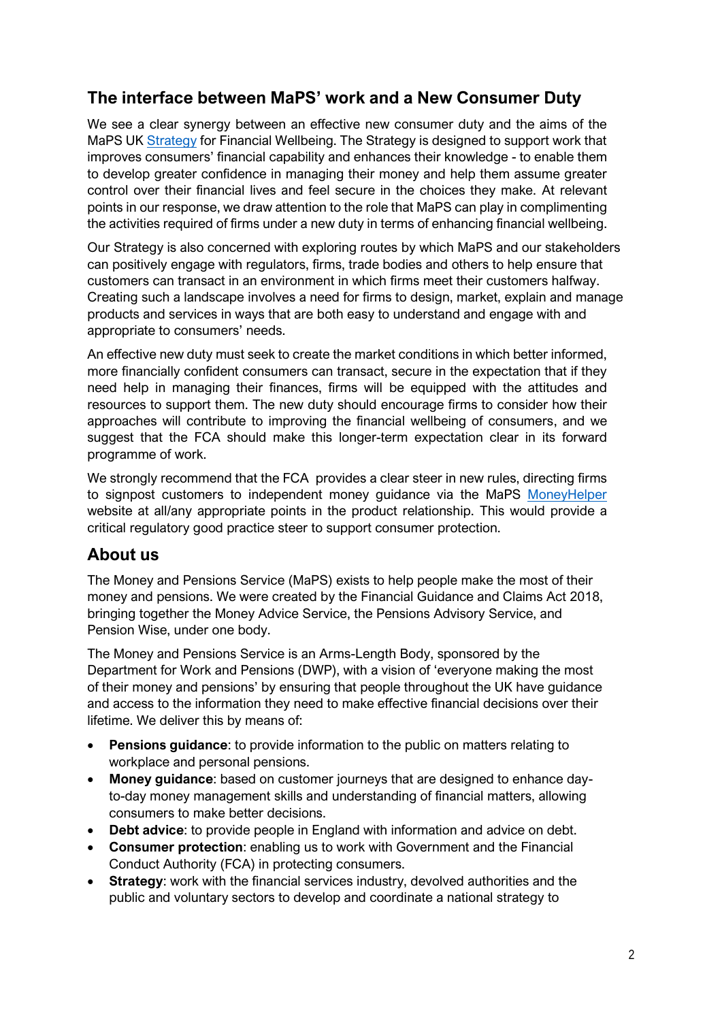# **The interface between MaPS' work and a New Consumer Duty**

We see a clear synergy between an effective new consumer duty and the aims of the MaPS UK [Strategy](https://moneyandpensionsservice.org.uk/uk-strategy-for-financial-wellbeing/) for Financial Wellbeing. The Strategy is designed to support work that improves consumers' financial capability and enhances their knowledge - to enable them to develop greater confidence in managing their money and help them assume greater control over their financial lives and feel secure in the choices they make. At relevant points in our response, we draw attention to the role that MaPS can play in complimenting the activities required of firms under a new duty in terms of enhancing financial wellbeing.

Our Strategy is also concerned with exploring routes by which MaPS and our stakeholders can positively engage with regulators, firms, trade bodies and others to help ensure that customers can transact in an environment in which firms meet their customers halfway. Creating such a landscape involves a need for firms to design, market, explain and manage products and services in ways that are both easy to understand and engage with and appropriate to consumers' needs.

An effective new duty must seek to create the market conditions in which better informed, more financially confident consumers can transact, secure in the expectation that if they need help in managing their finances, firms will be equipped with the attitudes and resources to support them. The new duty should encourage firms to consider how their approaches will contribute to improving the financial wellbeing of consumers, and we suggest that the FCA should make this longer-term expectation clear in its forward programme of work.

We strongly recommend that the FCA provides a clear steer in new rules, directing firms to signpost customers to independent money guidance via the MaPS [MoneyHelper](https://www.moneyhelper.org.uk/) website at all/any appropriate points in the product relationship. This would provide a critical regulatory good practice steer to support consumer protection.

# **About us**

The Money and Pensions Service (MaPS) exists to help people make the most of their money and pensions. We were created by the Financial Guidance and Claims Act 2018, bringing together the Money Advice Service, the Pensions Advisory Service, and Pension Wise, under one body.

The Money and Pensions Service is an Arms-Length Body, sponsored by the Department for Work and Pensions (DWP), with a vision of 'everyone making the most of their money and pensions' by ensuring that people throughout the UK have guidance and access to the information they need to make effective financial decisions over their lifetime. We deliver this by means of:

- **Pensions guidance**: to provide information to the public on matters relating to workplace and personal pensions.
- **Money guidance**: based on customer journeys that are designed to enhance dayto-day money management skills and understanding of financial matters, allowing consumers to make better decisions.
- **Debt advice**: to provide people in England with information and advice on debt.
- **Consumer protection**: enabling us to work with Government and the Financial Conduct Authority (FCA) in protecting consumers.
- **Strategy:** work with the financial services industry, devolved authorities and the public and voluntary sectors to develop and coordinate a national strategy to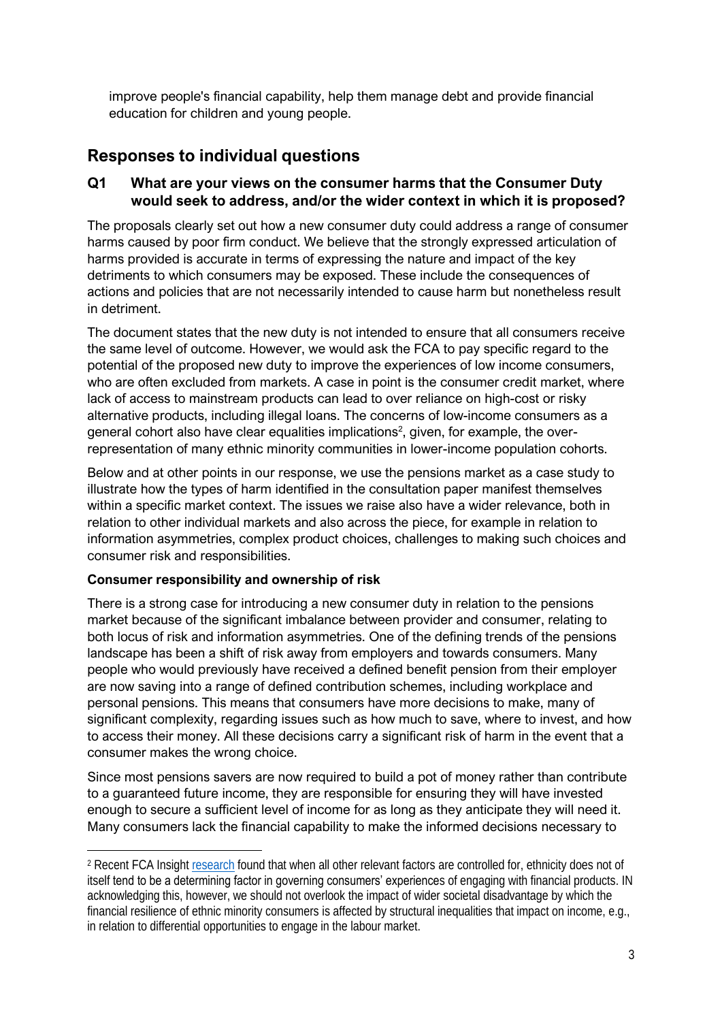improve people's financial capability, help them manage debt and provide financial education for children and young people.

# **Responses to individual questions**

## **Q1 What are your views on the consumer harms that the Consumer Duty would seek to address, and/or the wider context in which it is proposed?**

The proposals clearly set out how a new consumer duty could address a range of consumer harms caused by poor firm conduct. We believe that the strongly expressed articulation of harms provided is accurate in terms of expressing the nature and impact of the key detriments to which consumers may be exposed. These include the consequences of actions and policies that are not necessarily intended to cause harm but nonetheless result in detriment.

The document states that the new duty is not intended to ensure that all consumers receive the same level of outcome. However, we would ask the FCA to pay specific regard to the potential of the proposed new duty to improve the experiences of low income consumers, who are often excluded from markets. A case in point is the consumer credit market, where lack of access to mainstream products can lead to over reliance on high-cost or risky alternative products, including illegal loans. The concerns of low-income consumers as a general cohort also have clear equalities implications<sup>2</sup>, given, for example, the overrepresentation of many ethnic minority communities in lower-income population cohorts.

Below and at other points in our response, we use the pensions market as a case study to illustrate how the types of harm identified in the consultation paper manifest themselves within a specific market context. The issues we raise also have a wider relevance, both in relation to other individual markets and also across the piece, for example in relation to information asymmetries, complex product choices, challenges to making such choices and consumer risk and responsibilities.

### **Consumer responsibility and ownership of risk**

There is a strong case for introducing a new consumer duty in relation to the pensions market because of the significant imbalance between provider and consumer, relating to both locus of risk and information asymmetries. One of the defining trends of the pensions landscape has been a shift of risk away from employers and towards consumers. Many people who would previously have received a defined benefit pension from their employer are now saving into a range of defined contribution schemes, including workplace and personal pensions. This means that consumers have more decisions to make, many of significant complexity, regarding issues such as how much to save, where to invest, and how to access their money. All these decisions carry a significant risk of harm in the event that a consumer makes the wrong choice.

Since most pensions savers are now required to build a pot of money rather than contribute to a guaranteed future income, they are responsible for ensuring they will have invested enough to secure a sufficient level of income for as long as they anticipate they will need it. Many consumers lack the financial capability to make the informed decisions necessary to

<sup>2</sup> Recent FCA Insight [research](https://www.fca.org.uk/insight/ethnicity-personal-finances-and-coronavirus) found that when all other relevant factors are controlled for, ethnicity does not of itself tend to be a determining factor in governing consumers' experiences of engaging with financial products. IN acknowledging this, however, we should not overlook the impact of wider societal disadvantage by which the financial resilience of ethnic minority consumers is affected by structural inequalities that impact on income, e.g., in relation to differential opportunities to engage in the labour market.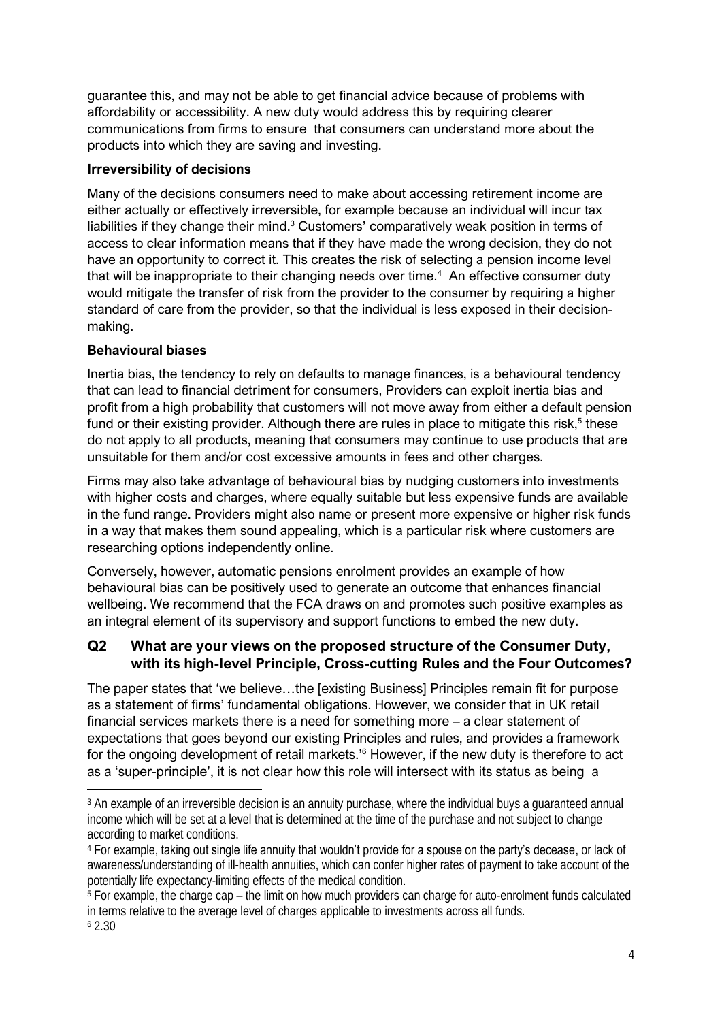guarantee this, and may not be able to get financial advice because of problems with affordability or accessibility. A new duty would address this by requiring clearer communications from firms to ensure that consumers can understand more about the products into which they are saving and investing.

### **Irreversibility of decisions**

Many of the decisions consumers need to make about accessing retirement income are either actually or effectively irreversible, for example because an individual will incur tax liabilities if they change their mind.<sup>3</sup> Customers' comparatively weak position in terms of access to clear information means that if they have made the wrong decision, they do not have an opportunity to correct it. This creates the risk of selecting a pension income level that will be inappropriate to their changing needs over time.<sup>4</sup> An effective consumer duty would mitigate the transfer of risk from the provider to the consumer by requiring a higher standard of care from the provider, so that the individual is less exposed in their decisionmaking.

#### **Behavioural biases**

Inertia bias, the tendency to rely on defaults to manage finances, is a behavioural tendency that can lead to financial detriment for consumers, Providers can exploit inertia bias and profit from a high probability that customers will not move away from either a default pension fund or their existing provider. Although there are rules in place to mitigate this risk, $5$  these do not apply to all products, meaning that consumers may continue to use products that are unsuitable for them and/or cost excessive amounts in fees and other charges.

Firms may also take advantage of behavioural bias by nudging customers into investments with higher costs and charges, where equally suitable but less expensive funds are available in the fund range. Providers might also name or present more expensive or higher risk funds in a way that makes them sound appealing, which is a particular risk where customers are researching options independently online.

Conversely, however, automatic pensions enrolment provides an example of how behavioural bias can be positively used to generate an outcome that enhances financial wellbeing. We recommend that the FCA draws on and promotes such positive examples as an integral element of its supervisory and support functions to embed the new duty.

## **Q2 What are your views on the proposed structure of the Consumer Duty, with its high-level Principle, Cross-cutting Rules and the Four Outcomes?**

The paper states that 'we believe…the [existing Business] Principles remain fit for purpose as a statement of firms' fundamental obligations. However, we consider that in UK retail financial services markets there is a need for something more – a clear statement of expectations that goes beyond our existing Principles and rules, and provides a framework for the ongoing development of retail markets.<sup>16</sup> However, if the new duty is therefore to act as a 'super-principle', it is not clear how this role will intersect with its status as being a

<sup>&</sup>lt;sup>3</sup> An example of an irreversible decision is an annuity purchase, where the individual buys a guaranteed annual income which will be set at a level that is determined at the time of the purchase and not subject to change according to market conditions.

<sup>&</sup>lt;sup>4</sup> For example, taking out single life annuity that wouldn't provide for a spouse on the party's decease, or lack of awareness/understanding of ill-health annuities, which can confer higher rates of payment to take account of the potentially life expectancy-limiting effects of the medical condition.

<sup>5</sup> For example, the charge cap – the limit on how much providers can charge for auto-enrolment funds calculated in terms relative to the average level of charges applicable to investments across all funds.  $62.30$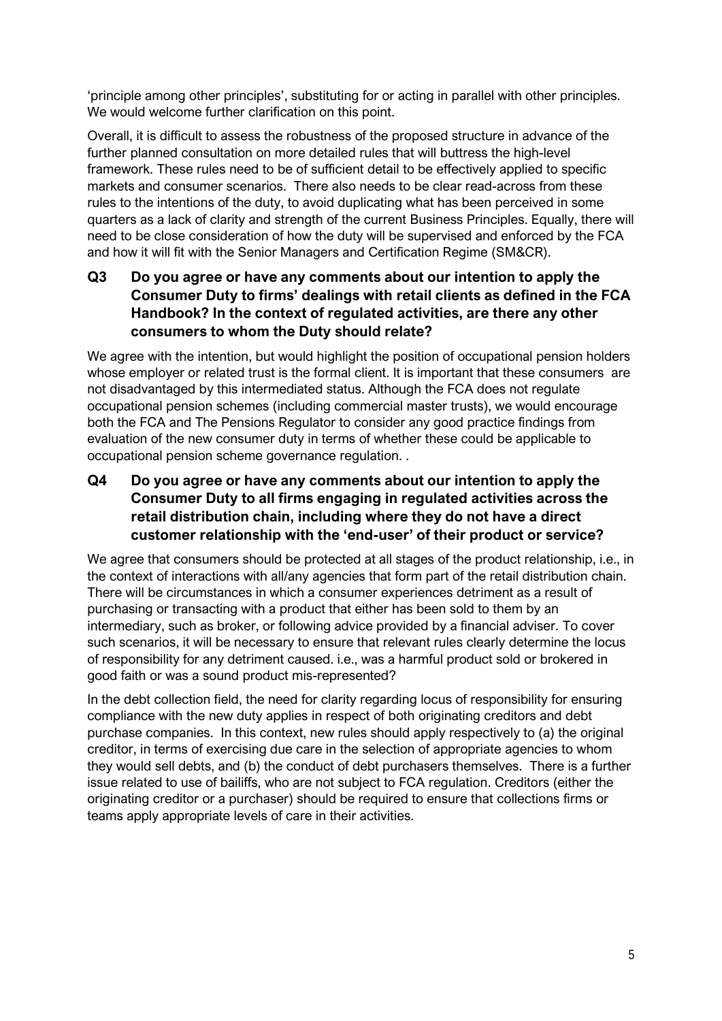'principle among other principles', substituting for or acting in parallel with other principles. We would welcome further clarification on this point.

Overall, it is difficult to assess the robustness of the proposed structure in advance of the further planned consultation on more detailed rules that will buttress the high-level framework. These rules need to be of sufficient detail to be effectively applied to specific markets and consumer scenarios. There also needs to be clear read-across from these rules to the intentions of the duty, to avoid duplicating what has been perceived in some quarters as a lack of clarity and strength of the current Business Principles. Equally, there will need to be close consideration of how the duty will be supervised and enforced by the FCA and how it will fit with the Senior Managers and Certification Regime (SM&CR).

# **Q3 Do you agree or have any comments about our intention to apply the Consumer Duty to firms' dealings with retail clients as defined in the FCA Handbook? In the context of regulated activities, are there any other consumers to whom the Duty should relate?**

We agree with the intention, but would highlight the position of occupational pension holders whose employer or related trust is the formal client. It is important that these consumers are not disadvantaged by this intermediated status. Although the FCA does not regulate occupational pension schemes (including commercial master trusts), we would encourage both the FCA and The Pensions Regulator to consider any good practice findings from evaluation of the new consumer duty in terms of whether these could be applicable to occupational pension scheme governance regulation. .

**Q4 Do you agree or have any comments about our intention to apply the Consumer Duty to all firms engaging in regulated activities across the retail distribution chain, including where they do not have a direct customer relationship with the 'end-user' of their product or service?**

We agree that consumers should be protected at all stages of the product relationship, i.e., in the context of interactions with all/any agencies that form part of the retail distribution chain. There will be circumstances in which a consumer experiences detriment as a result of purchasing or transacting with a product that either has been sold to them by an intermediary, such as broker, or following advice provided by a financial adviser. To cover such scenarios, it will be necessary to ensure that relevant rules clearly determine the locus of responsibility for any detriment caused. i.e., was a harmful product sold or brokered in good faith or was a sound product mis-represented?

In the debt collection field, the need for clarity regarding locus of responsibility for ensuring compliance with the new duty applies in respect of both originating creditors and debt purchase companies. In this context, new rules should apply respectively to (a) the original creditor, in terms of exercising due care in the selection of appropriate agencies to whom they would sell debts, and (b) the conduct of debt purchasers themselves. There is a further issue related to use of bailiffs, who are not subject to FCA regulation. Creditors (either the originating creditor or a purchaser) should be required to ensure that collections firms or teams apply appropriate levels of care in their activities.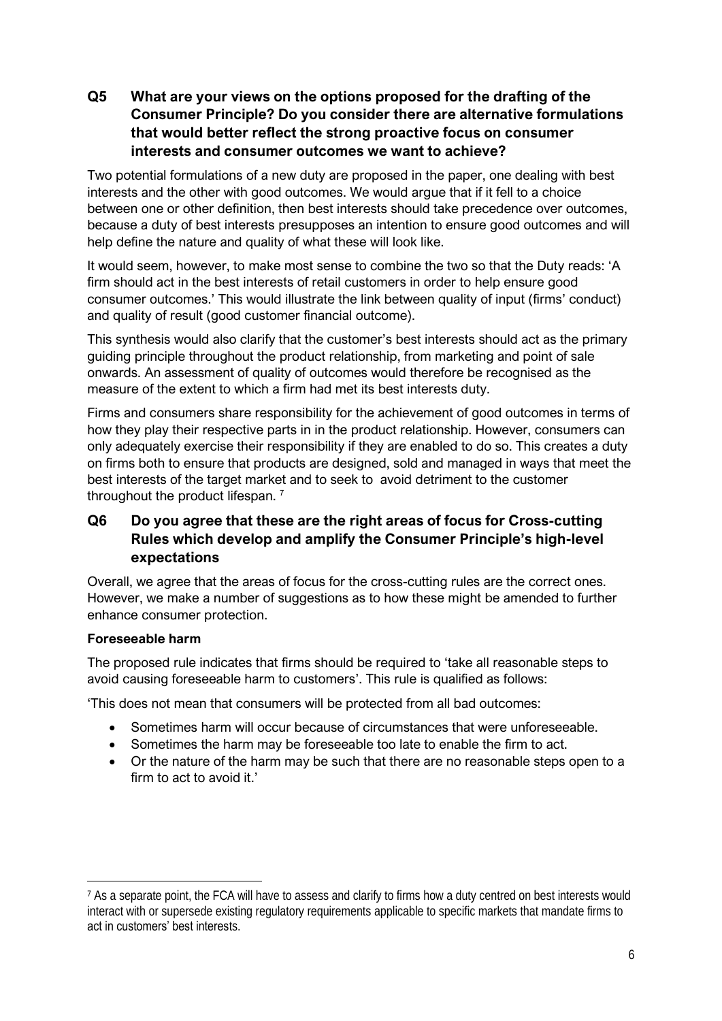## **Q5 What are your views on the options proposed for the drafting of the Consumer Principle? Do you consider there are alternative formulations that would better reflect the strong proactive focus on consumer interests and consumer outcomes we want to achieve?**

Two potential formulations of a new duty are proposed in the paper, one dealing with best interests and the other with good outcomes. We would argue that if it fell to a choice between one or other definition, then best interests should take precedence over outcomes, because a duty of best interests presupposes an intention to ensure good outcomes and will help define the nature and quality of what these will look like.

It would seem, however, to make most sense to combine the two so that the Duty reads: 'A firm should act in the best interests of retail customers in order to help ensure good consumer outcomes.' This would illustrate the link between quality of input (firms' conduct) and quality of result (good customer financial outcome).

This synthesis would also clarify that the customer's best interests should act as the primary guiding principle throughout the product relationship, from marketing and point of sale onwards. An assessment of quality of outcomes would therefore be recognised as the measure of the extent to which a firm had met its best interests duty.

Firms and consumers share responsibility for the achievement of good outcomes in terms of how they play their respective parts in in the product relationship. However, consumers can only adequately exercise their responsibility if they are enabled to do so. This creates a duty on firms both to ensure that products are designed, sold and managed in ways that meet the best interests of the target market and to seek to avoid detriment to the customer throughout the product lifespan.<sup>7</sup>

# **Q6 Do you agree that these are the right areas of focus for Cross-cutting Rules which develop and amplify the Consumer Principle's high-level expectations**

Overall, we agree that the areas of focus for the cross-cutting rules are the correct ones. However, we make a number of suggestions as to how these might be amended to further enhance consumer protection.

### **Foreseeable harm**

The proposed rule indicates that firms should be required to 'take all reasonable steps to avoid causing foreseeable harm to customers'. This rule is qualified as follows:

'This does not mean that consumers will be protected from all bad outcomes:

- Sometimes harm will occur because of circumstances that were unforeseeable.
- Sometimes the harm may be foreseeable too late to enable the firm to act.
- Or the nature of the harm may be such that there are no reasonable steps open to a firm to act to avoid it.'

<sup>&</sup>lt;sup>7</sup> As a separate point, the FCA will have to assess and clarify to firms how a duty centred on best interests would interact with or supersede existing regulatory requirements applicable to specific markets that mandate firms to act in customers' best interests.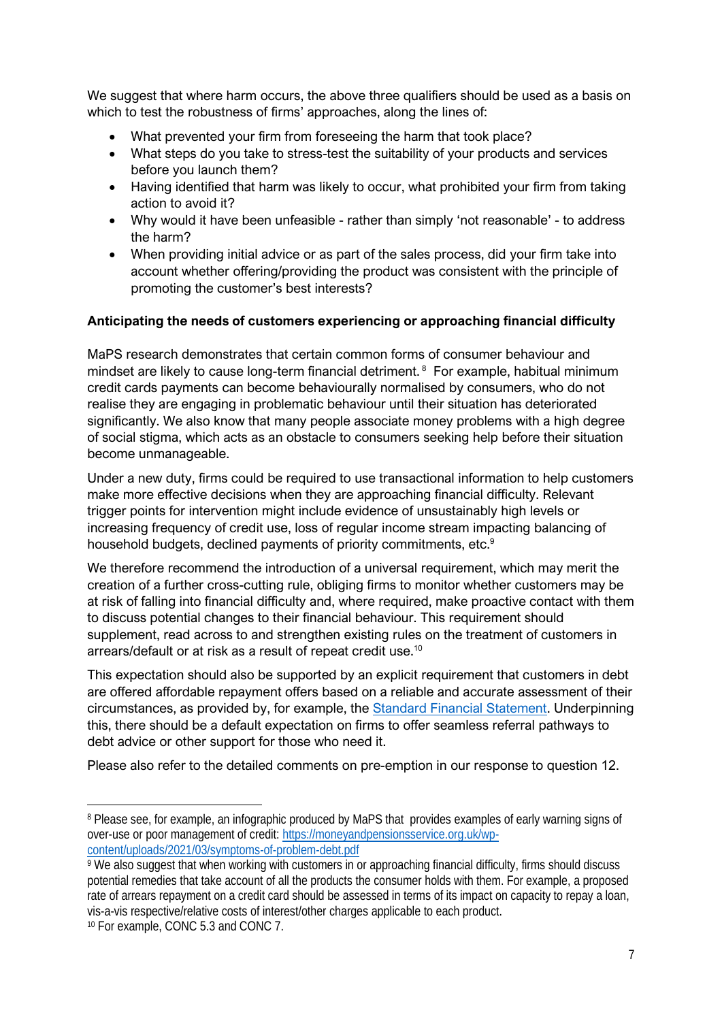We suggest that where harm occurs, the above three qualifiers should be used as a basis on which to test the robustness of firms' approaches, along the lines of:

- What prevented your firm from foreseeing the harm that took place?
- What steps do you take to stress-test the suitability of your products and services before you launch them?
- Having identified that harm was likely to occur, what prohibited your firm from taking action to avoid it?
- Why would it have been unfeasible rather than simply 'not reasonable' to address the harm?
- When providing initial advice or as part of the sales process, did your firm take into account whether offering/providing the product was consistent with the principle of promoting the customer's best interests?

### **Anticipating the needs of customers experiencing or approaching financial difficulty**

MaPS research demonstrates that certain common forms of consumer behaviour and mindset are likely to cause long-term financial detriment. <sup>8</sup> For example, habitual minimum credit cards payments can become behaviourally normalised by consumers, who do not realise they are engaging in problematic behaviour until their situation has deteriorated significantly. We also know that many people associate money problems with a high degree of social stigma, which acts as an obstacle to consumers seeking help before their situation become unmanageable.

Under a new duty, firms could be required to use transactional information to help customers make more effective decisions when they are approaching financial difficulty. Relevant trigger points for intervention might include evidence of unsustainably high levels or increasing frequency of credit use, loss of regular income stream impacting balancing of household budgets, declined payments of priority commitments, etc.<sup>9</sup>

We therefore recommend the introduction of a universal requirement, which may merit the creation of a further cross-cutting rule, obliging firms to monitor whether customers may be at risk of falling into financial difficulty and, where required, make proactive contact with them to discuss potential changes to their financial behaviour. This requirement should supplement, read across to and strengthen existing rules on the treatment of customers in arrears/default or at risk as a result of repeat credit use. 10

This expectation should also be supported by an explicit requirement that customers in debt are offered affordable repayment offers based on a reliable and accurate assessment of their circumstances, as provided by, for example, the [Standard Financial Statement.](https://sfs.moneyadviceservice.org.uk/en/) Underpinning this, there should be a default expectation on firms to offer seamless referral pathways to debt advice or other support for those who need it.

Please also refer to the detailed comments on pre-emption in our response to question 12.

<sup>8</sup> Please see, for example, an infographic produced by MaPS that provides examples of early warning signs of over-use or poor management of credit: [https://moneyandpensionsservice.org.uk/wp](https://moneyandpensionsservice.org.uk/wp-content/uploads/2021/03/symptoms-of-problem-debt.pdf)[content/uploads/2021/03/symptoms-of-problem-debt.pdf](https://moneyandpensionsservice.org.uk/wp-content/uploads/2021/03/symptoms-of-problem-debt.pdf)

<sup>&</sup>lt;sup>9</sup> We also suggest that when working with customers in or approaching financial difficulty, firms should discuss potential remedies that take account of all the products the consumer holds with them. For example, a proposed rate of arrears repayment on a credit card should be assessed in terms of its impact on capacity to repay a loan, vis-a-vis respective/relative costs of interest/other charges applicable to each product.

<sup>10</sup> For example, CONC 5.3 and CONC 7.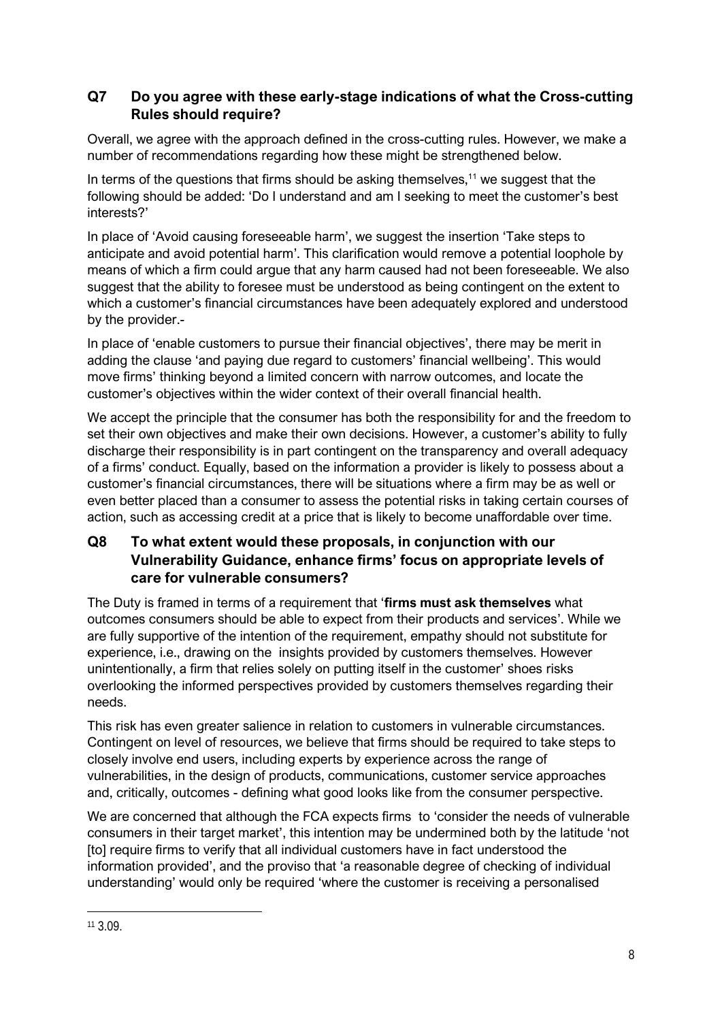# **Q7 Do you agree with these early-stage indications of what the Cross-cutting Rules should require?**

Overall, we agree with the approach defined in the cross-cutting rules. However, we make a number of recommendations regarding how these might be strengthened below.

In terms of the questions that firms should be asking themselves,<sup>11</sup> we suggest that the following should be added: 'Do I understand and am I seeking to meet the customer's best interests?'

In place of 'Avoid causing foreseeable harm', we suggest the insertion 'Take steps to anticipate and avoid potential harm'. This clarification would remove a potential loophole by means of which a firm could argue that any harm caused had not been foreseeable. We also suggest that the ability to foresee must be understood as being contingent on the extent to which a customer's financial circumstances have been adequately explored and understood by the provider.-

In place of 'enable customers to pursue their financial objectives', there may be merit in adding the clause 'and paying due regard to customers' financial wellbeing'. This would move firms' thinking beyond a limited concern with narrow outcomes, and locate the customer's objectives within the wider context of their overall financial health.

We accept the principle that the consumer has both the responsibility for and the freedom to set their own objectives and make their own decisions. However, a customer's ability to fully discharge their responsibility is in part contingent on the transparency and overall adequacy of a firms' conduct. Equally, based on the information a provider is likely to possess about a customer's financial circumstances, there will be situations where a firm may be as well or even better placed than a consumer to assess the potential risks in taking certain courses of action, such as accessing credit at a price that is likely to become unaffordable over time.

# **Q8 To what extent would these proposals, in conjunction with our Vulnerability Guidance, enhance firms' focus on appropriate levels of care for vulnerable consumers?**

The Duty is framed in terms of a requirement that '**firms must ask themselves** what outcomes consumers should be able to expect from their products and services'. While we are fully supportive of the intention of the requirement, empathy should not substitute for experience, i.e., drawing on the insights provided by customers themselves. However unintentionally, a firm that relies solely on putting itself in the customer' shoes risks overlooking the informed perspectives provided by customers themselves regarding their needs.

This risk has even greater salience in relation to customers in vulnerable circumstances. Contingent on level of resources, we believe that firms should be required to take steps to closely involve end users, including experts by experience across the range of vulnerabilities, in the design of products, communications, customer service approaches and, critically, outcomes - defining what good looks like from the consumer perspective.

We are concerned that although the FCA expects firms to 'consider the needs of vulnerable consumers in their target market', this intention may be undermined both by the latitude 'not [to] require firms to verify that all individual customers have in fact understood the information provided', and the proviso that 'a reasonable degree of checking of individual understanding' would only be required 'where the customer is receiving a personalised

<sup>11</sup> 3.09.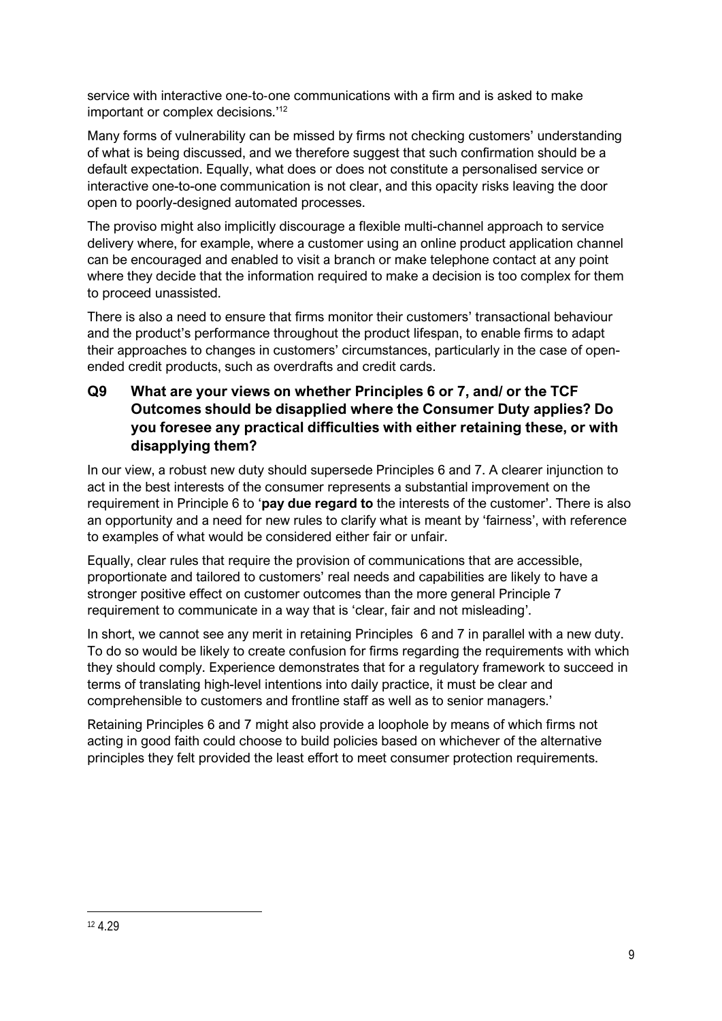service with interactive one‑to‑one communications with a firm and is asked to make important or complex decisions.<sup>'12</sup>

Many forms of vulnerability can be missed by firms not checking customers' understanding of what is being discussed, and we therefore suggest that such confirmation should be a default expectation. Equally, what does or does not constitute a personalised service or interactive one-to-one communication is not clear, and this opacity risks leaving the door open to poorly-designed automated processes.

The proviso might also implicitly discourage a flexible multi-channel approach to service delivery where, for example, where a customer using an online product application channel can be encouraged and enabled to visit a branch or make telephone contact at any point where they decide that the information required to make a decision is too complex for them to proceed unassisted.

There is also a need to ensure that firms monitor their customers' transactional behaviour and the product's performance throughout the product lifespan, to enable firms to adapt their approaches to changes in customers' circumstances, particularly in the case of openended credit products, such as overdrafts and credit cards.

# **Q9 What are your views on whether Principles 6 or 7, and/ or the TCF Outcomes should be disapplied where the Consumer Duty applies? Do you foresee any practical difficulties with either retaining these, or with disapplying them?**

In our view, a robust new duty should supersede Principles 6 and 7. A clearer injunction to act in the best interests of the consumer represents a substantial improvement on the requirement in Principle 6 to '**pay due regard to** the interests of the customer'. There is also an opportunity and a need for new rules to clarify what is meant by 'fairness', with reference to examples of what would be considered either fair or unfair.

Equally, clear rules that require the provision of communications that are accessible, proportionate and tailored to customers' real needs and capabilities are likely to have a stronger positive effect on customer outcomes than the more general Principle 7 requirement to communicate in a way that is 'clear, fair and not misleading'.

In short, we cannot see any merit in retaining Principles 6 and 7 in parallel with a new duty. To do so would be likely to create confusion for firms regarding the requirements with which they should comply. Experience demonstrates that for a regulatory framework to succeed in terms of translating high-level intentions into daily practice, it must be clear and comprehensible to customers and frontline staff as well as to senior managers.'

Retaining Principles 6 and 7 might also provide a loophole by means of which firms not acting in good faith could choose to build policies based on whichever of the alternative principles they felt provided the least effort to meet consumer protection requirements.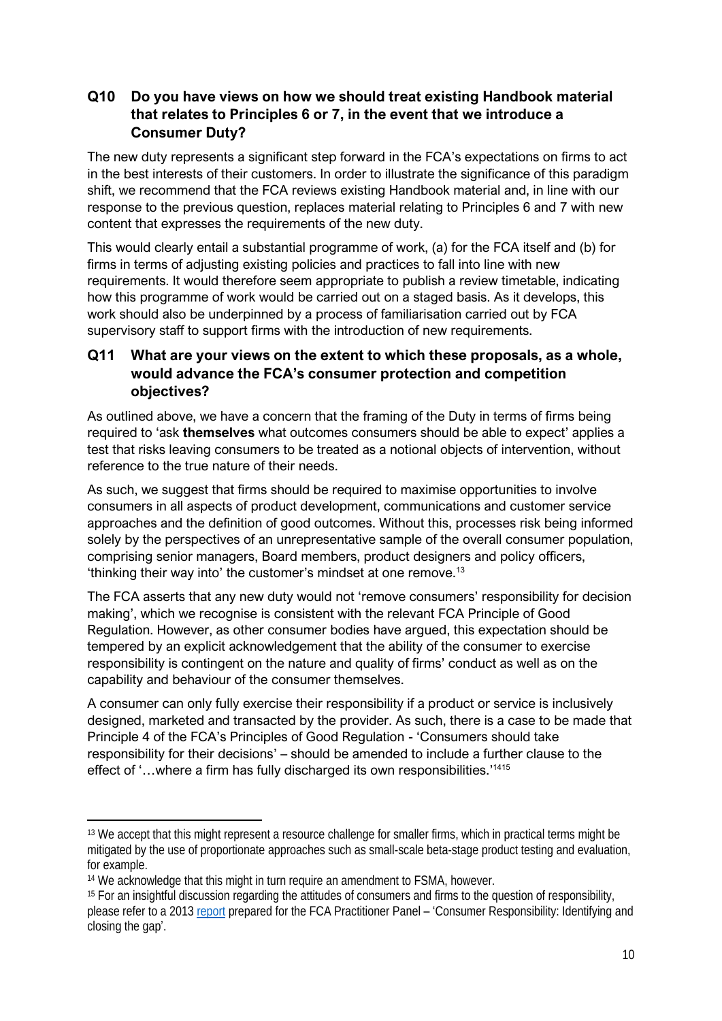# **Q10 Do you have views on how we should treat existing Handbook material that relates to Principles 6 or 7, in the event that we introduce a Consumer Duty?**

The new duty represents a significant step forward in the FCA's expectations on firms to act in the best interests of their customers. In order to illustrate the significance of this paradigm shift, we recommend that the FCA reviews existing Handbook material and, in line with our response to the previous question, replaces material relating to Principles 6 and 7 with new content that expresses the requirements of the new duty.

This would clearly entail a substantial programme of work, (a) for the FCA itself and (b) for firms in terms of adjusting existing policies and practices to fall into line with new requirements. It would therefore seem appropriate to publish a review timetable, indicating how this programme of work would be carried out on a staged basis. As it develops, this work should also be underpinned by a process of familiarisation carried out by FCA supervisory staff to support firms with the introduction of new requirements.

# **Q11 What are your views on the extent to which these proposals, as a whole, would advance the FCA's consumer protection and competition objectives?**

As outlined above, we have a concern that the framing of the Duty in terms of firms being required to 'ask **themselves** what outcomes consumers should be able to expect' applies a test that risks leaving consumers to be treated as a notional objects of intervention, without reference to the true nature of their needs.

As such, we suggest that firms should be required to maximise opportunities to involve consumers in all aspects of product development, communications and customer service approaches and the definition of good outcomes. Without this, processes risk being informed solely by the perspectives of an unrepresentative sample of the overall consumer population, comprising senior managers, Board members, product designers and policy officers, 'thinking their way into' the customer's mindset at one remove. 13

The FCA asserts that any new duty would not 'remove consumers' responsibility for decision making', which we recognise is consistent with the relevant FCA Principle of Good Regulation. However, as other consumer bodies have argued, this expectation should be tempered by an explicit acknowledgement that the ability of the consumer to exercise responsibility is contingent on the nature and quality of firms' conduct as well as on the capability and behaviour of the consumer themselves.

A consumer can only fully exercise their responsibility if a product or service is inclusively designed, marketed and transacted by the provider. As such, there is a case to be made that Principle 4 of the FCA's Principles of Good Regulation - 'Consumers should take responsibility for their decisions' – should be amended to include a further clause to the effect of '...where a firm has fully discharged its own responsibilities.'<sup>1415</sup>

<sup>&</sup>lt;sup>13</sup> We accept that this might represent a resource challenge for smaller firms, which in practical terms might be mitigated by the use of proportionate approaches such as small-scale beta-stage product testing and evaluation, for example.

<sup>&</sup>lt;sup>14</sup> We acknowledge that this might in turn require an amendment to FSMA, however.

<sup>&</sup>lt;sup>15</sup> For an insightful discussion regarding the attitudes of consumers and firms to the question of responsibility, please refer to a 2013 [report](https://www.fca-pp.org.uk/sites/default/files/fca_practitioner_panel_consumer_responsibility_report_september_2013.pdf) prepared for the FCA Practitioner Panel – 'Consumer Responsibility: Identifying and closing the gap'.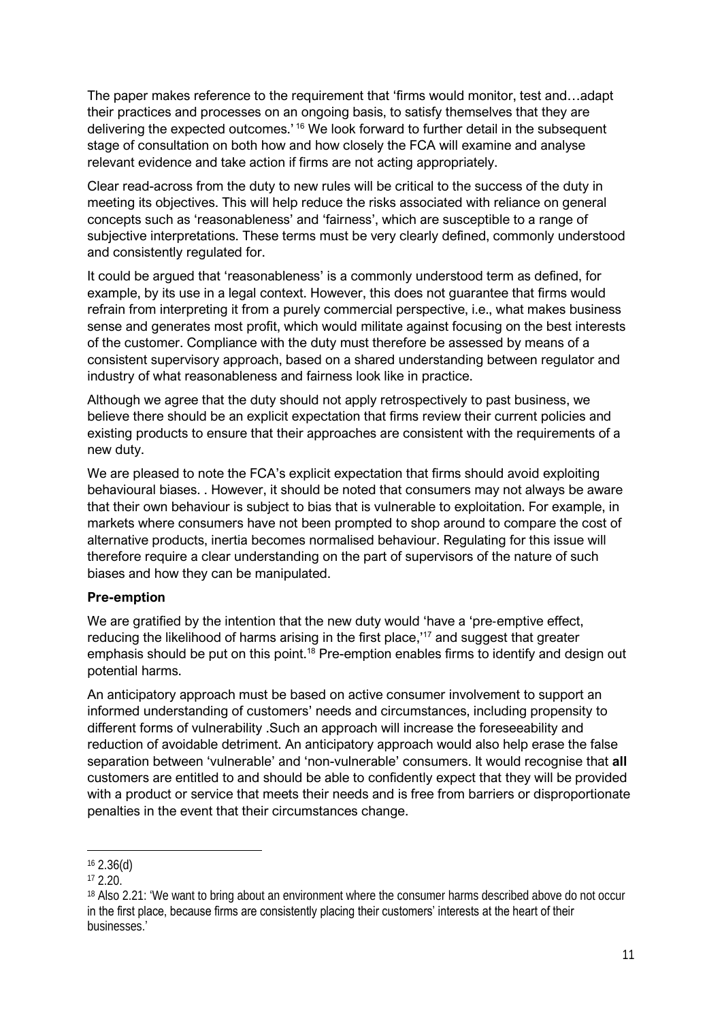The paper makes reference to the requirement that 'firms would monitor, test and…adapt their practices and processes on an ongoing basis, to satisfy themselves that they are delivering the expected outcomes.' <sup>16</sup> We look forward to further detail in the subsequent stage of consultation on both how and how closely the FCA will examine and analyse relevant evidence and take action if firms are not acting appropriately.

Clear read-across from the duty to new rules will be critical to the success of the duty in meeting its objectives. This will help reduce the risks associated with reliance on general concepts such as 'reasonableness' and 'fairness', which are susceptible to a range of subjective interpretations. These terms must be very clearly defined, commonly understood and consistently regulated for.

It could be argued that 'reasonableness' is a commonly understood term as defined, for example, by its use in a legal context. However, this does not guarantee that firms would refrain from interpreting it from a purely commercial perspective, i.e., what makes business sense and generates most profit, which would militate against focusing on the best interests of the customer. Compliance with the duty must therefore be assessed by means of a consistent supervisory approach, based on a shared understanding between regulator and industry of what reasonableness and fairness look like in practice.

Although we agree that the duty should not apply retrospectively to past business, we believe there should be an explicit expectation that firms review their current policies and existing products to ensure that their approaches are consistent with the requirements of a new duty.

We are pleased to note the FCA's explicit expectation that firms should avoid exploiting behavioural biases. . However, it should be noted that consumers may not always be aware that their own behaviour is subject to bias that is vulnerable to exploitation. For example, in markets where consumers have not been prompted to shop around to compare the cost of alternative products, inertia becomes normalised behaviour. Regulating for this issue will therefore require a clear understanding on the part of supervisors of the nature of such biases and how they can be manipulated.

### **Pre-emption**

We are gratified by the intention that the new duty would 'have a 'pre-emptive effect, reducing the likelihood of harms arising in the first place,<sup>17</sup> and suggest that greater emphasis should be put on this point.<sup>18</sup> Pre-emption enables firms to identify and design out potential harms.

An anticipatory approach must be based on active consumer involvement to support an informed understanding of customers' needs and circumstances, including propensity to different forms of vulnerability .Such an approach will increase the foreseeability and reduction of avoidable detriment. An anticipatory approach would also help erase the false separation between 'vulnerable' and 'non-vulnerable' consumers. It would recognise that **all** customers are entitled to and should be able to confidently expect that they will be provided with a product or service that meets their needs and is free from barriers or disproportionate penalties in the event that their circumstances change.

<sup>16</sup> 2.36(d)

 $17,2.20$ .

<sup>18</sup> Also 2.21: 'We want to bring about an environment where the consumer harms described above do not occur in the first place, because firms are consistently placing their customers' interests at the heart of their businesses.'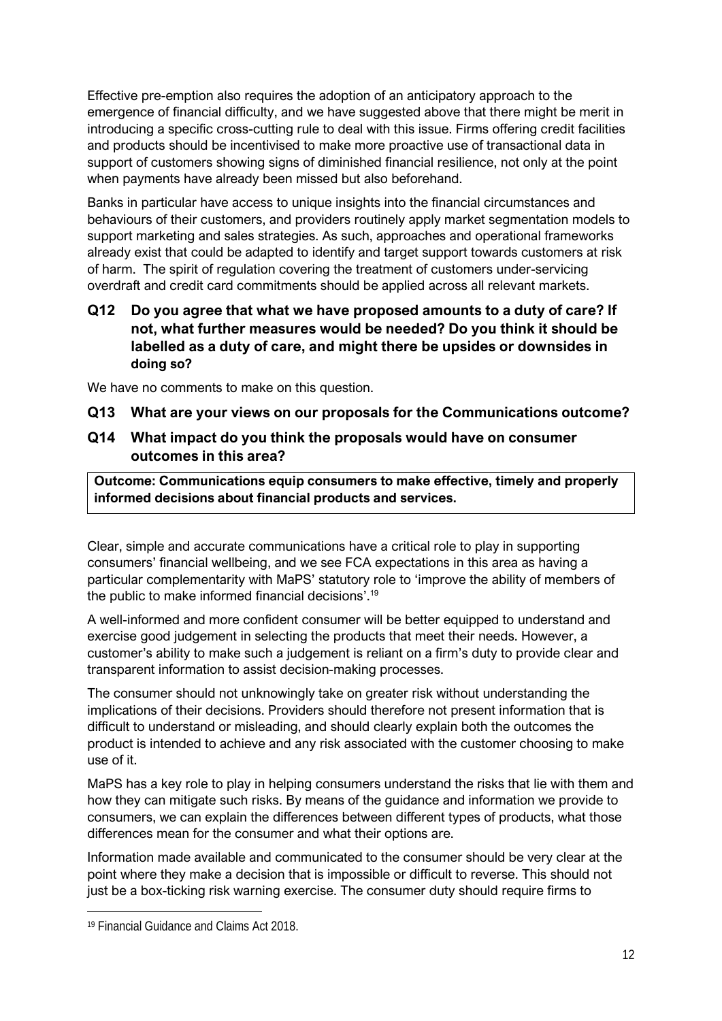Effective pre-emption also requires the adoption of an anticipatory approach to the emergence of financial difficulty, and we have suggested above that there might be merit in introducing a specific cross-cutting rule to deal with this issue. Firms offering credit facilities and products should be incentivised to make more proactive use of transactional data in support of customers showing signs of diminished financial resilience, not only at the point when payments have already been missed but also beforehand.

Banks in particular have access to unique insights into the financial circumstances and behaviours of their customers, and providers routinely apply market segmentation models to support marketing and sales strategies. As such, approaches and operational frameworks already exist that could be adapted to identify and target support towards customers at risk of harm. The spirit of regulation covering the treatment of customers under-servicing overdraft and credit card commitments should be applied across all relevant markets.

## **Q12 Do you agree that what we have proposed amounts to a duty of care? If not, what further measures would be needed? Do you think it should be labelled as a duty of care, and might there be upsides or downsides in doing so?**

We have no comments to make on this question.

### **Q13 What are your views on our proposals for the Communications outcome?**

## **Q14 What impact do you think the proposals would have on consumer outcomes in this area?**

**Outcome: Communications equip consumers to make effective, timely and properly informed decisions about financial products and services.**

Clear, simple and accurate communications have a critical role to play in supporting consumers' financial wellbeing, and we see FCA expectations in this area as having a particular complementarity with MaPS' statutory role to 'improve the ability of members of the public to make informed financial decisions'. 19

A well-informed and more confident consumer will be better equipped to understand and exercise good judgement in selecting the products that meet their needs. However, a customer's ability to make such a judgement is reliant on a firm's duty to provide clear and transparent information to assist decision-making processes.

The consumer should not unknowingly take on greater risk without understanding the implications of their decisions. Providers should therefore not present information that is difficult to understand or misleading, and should clearly explain both the outcomes the product is intended to achieve and any risk associated with the customer choosing to make use of it.

MaPS has a key role to play in helping consumers understand the risks that lie with them and how they can mitigate such risks. By means of the guidance and information we provide to consumers, we can explain the differences between different types of products, what those differences mean for the consumer and what their options are.

Information made available and communicated to the consumer should be very clear at the point where they make a decision that is impossible or difficult to reverse. This should not just be a box-ticking risk warning exercise. The consumer duty should require firms to

<sup>19</sup> Financial Guidance and Claims Act 2018.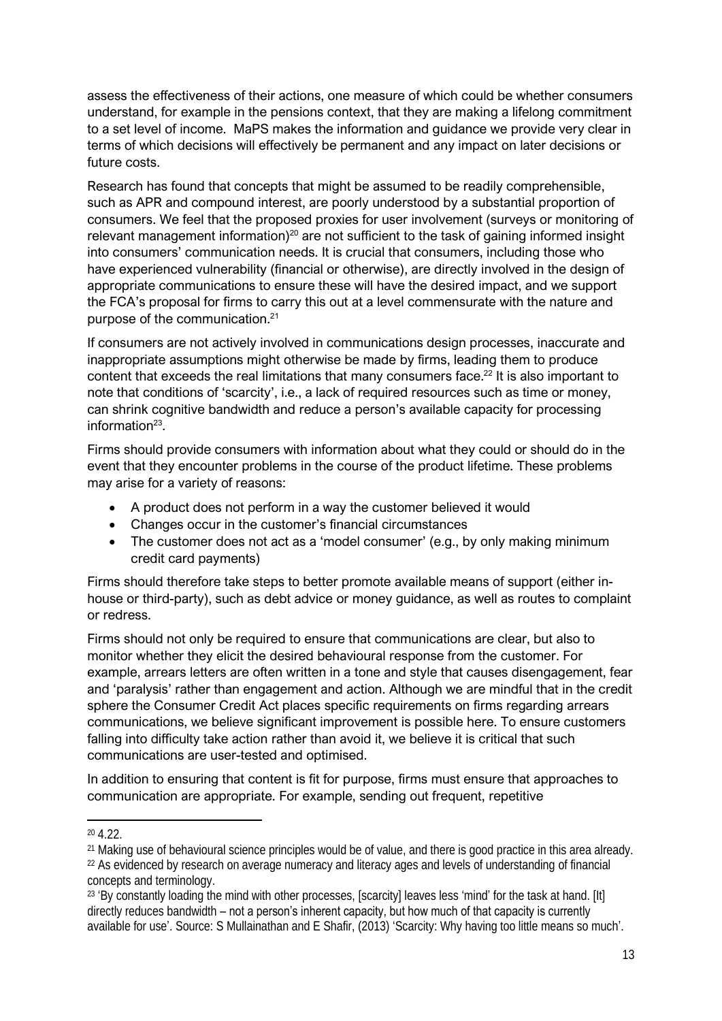assess the effectiveness of their actions, one measure of which could be whether consumers understand, for example in the pensions context, that they are making a lifelong commitment to a set level of income. MaPS makes the information and guidance we provide very clear in terms of which decisions will effectively be permanent and any impact on later decisions or future costs.

Research has found that concepts that might be assumed to be readily comprehensible, such as APR and compound interest, are poorly understood by a substantial proportion of consumers. We feel that the proposed proxies for user involvement (surveys or monitoring of relevant management information)<sup>20</sup> are not sufficient to the task of gaining informed insight into consumers' communication needs. It is crucial that consumers, including those who have experienced vulnerability (financial or otherwise), are directly involved in the design of appropriate communications to ensure these will have the desired impact, and we support the FCA's proposal for firms to carry this out at a level commensurate with the nature and purpose of the communication.<sup>21</sup>

If consumers are not actively involved in communications design processes, inaccurate and inappropriate assumptions might otherwise be made by firms, leading them to produce content that exceeds the real limitations that many consumers face.<sup>22</sup> It is also important to note that conditions of 'scarcity', i.e., a lack of required resources such as time or money, can shrink cognitive bandwidth and reduce a person's available capacity for processing information<sup>23</sup>.

Firms should provide consumers with information about what they could or should do in the event that they encounter problems in the course of the product lifetime. These problems may arise for a variety of reasons:

- A product does not perform in a way the customer believed it would
- Changes occur in the customer's financial circumstances
- The customer does not act as a 'model consumer' (e.g., by only making minimum credit card payments)

Firms should therefore take steps to better promote available means of support (either inhouse or third-party), such as debt advice or money guidance, as well as routes to complaint or redress.

Firms should not only be required to ensure that communications are clear, but also to monitor whether they elicit the desired behavioural response from the customer. For example, arrears letters are often written in a tone and style that causes disengagement, fear and 'paralysis' rather than engagement and action. Although we are mindful that in the credit sphere the Consumer Credit Act places specific requirements on firms regarding arrears communications, we believe significant improvement is possible here. To ensure customers falling into difficulty take action rather than avoid it, we believe it is critical that such communications are user-tested and optimised.

In addition to ensuring that content is fit for purpose, firms must ensure that approaches to communication are appropriate. For example, sending out frequent, repetitive

<sup>20</sup> 4.22.

<sup>&</sup>lt;sup>21</sup> Making use of behavioural science principles would be of value, and there is good practice in this area already.

<sup>&</sup>lt;sup>22</sup> As evidenced by research on average numeracy and literacy ages and levels of understanding of financial concepts and terminology.

<sup>&</sup>lt;sup>23</sup> 'By constantly loading the mind with other processes, [scarcity] leaves less 'mind' for the task at hand. [It] directly reduces bandwidth – not a person's inherent capacity, but how much of that capacity is currently available for use'. Source: S Mullainathan and E Shafir, (2013) 'Scarcity: Why having too little means so much'.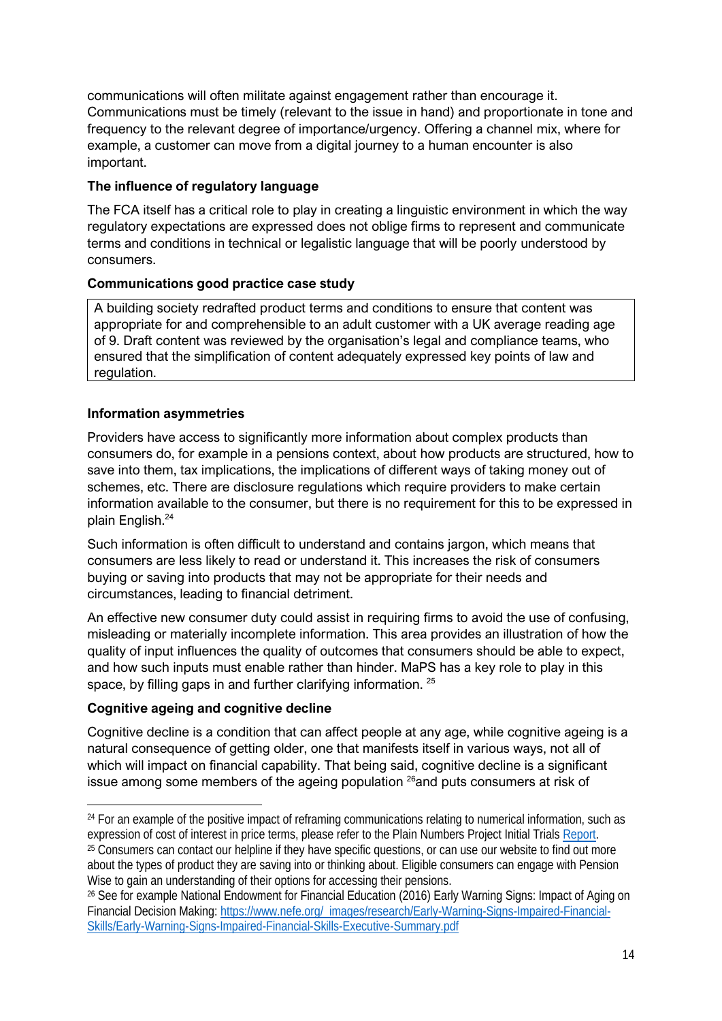communications will often militate against engagement rather than encourage it. Communications must be timely (relevant to the issue in hand) and proportionate in tone and frequency to the relevant degree of importance/urgency. Offering a channel mix, where for example, a customer can move from a digital journey to a human encounter is also important.

## **The influence of regulatory language**

The FCA itself has a critical role to play in creating a linguistic environment in which the way regulatory expectations are expressed does not oblige firms to represent and communicate terms and conditions in technical or legalistic language that will be poorly understood by consumers.

## **Communications good practice case study**

A building society redrafted product terms and conditions to ensure that content was appropriate for and comprehensible to an adult customer with a UK average reading age of 9. Draft content was reviewed by the organisation's legal and compliance teams, who ensured that the simplification of content adequately expressed key points of law and regulation.

### **Information asymmetries**

Providers have access to significantly more information about complex products than consumers do, for example in a pensions context, about how products are structured, how to save into them, tax implications, the implications of different ways of taking money out of schemes, etc. There are disclosure regulations which require providers to make certain information available to the consumer, but there is no requirement for this to be expressed in plain English.<sup>24</sup>

Such information is often difficult to understand and contains jargon, which means that consumers are less likely to read or understand it. This increases the risk of consumers buying or saving into products that may not be appropriate for their needs and circumstances, leading to financial detriment.

An effective new consumer duty could assist in requiring firms to avoid the use of confusing, misleading or materially incomplete information. This area provides an illustration of how the quality of input influences the quality of outcomes that consumers should be able to expect, and how such inputs must enable rather than hinder. MaPS has a key role to play in this space, by filling gaps in and further clarifying information. <sup>25</sup>

### **Cognitive ageing and cognitive decline**

Cognitive decline is a condition that can affect people at any age, while cognitive ageing is a natural consequence of getting older, one that manifests itself in various ways, not all of which will impact on financial capability. That being said, cognitive decline is a significant issue among some members of the ageing population  $26$  and puts consumers at risk of

<sup>&</sup>lt;sup>24</sup> For an example of the positive impact of reframing communications relating to numerical information, such as expression of cost of interest in price terms, please refer to the Plain Numbers Project Initial Trials [Report.](https://static1.squarespace.com/static/5f7f7734f7e47f08bc961018/t/60dcd93f4e4c433c2bb05da5/1625086280079/Plain_Numbers_Research_Report.pdf) <sup>25</sup> Consumers can contact our helpline if they have specific questions, or can use our website to find out more

about the types of product they are saving into or thinking about. Eligible consumers can engage with Pension Wise to gain an understanding of their options for accessing their pensions.

<sup>26</sup> See for example National Endowment for Financial Education (2016) Early Warning Signs: Impact of Aging on Financial Decision Making: [https://www.nefe.org/\\_images/research/Early-Warning-Signs-Impaired-Financial-](https://www.nefe.org/_images/research/Early-Warning-Signs-Impaired-Financial-Skills/Early-Warning-Signs-Impaired-Financial-Skills-Executive-Summary.pdf)[Skills/Early-Warning-Signs-Impaired-Financial-Skills-Executive-Summary.pdf](https://www.nefe.org/_images/research/Early-Warning-Signs-Impaired-Financial-Skills/Early-Warning-Signs-Impaired-Financial-Skills-Executive-Summary.pdf)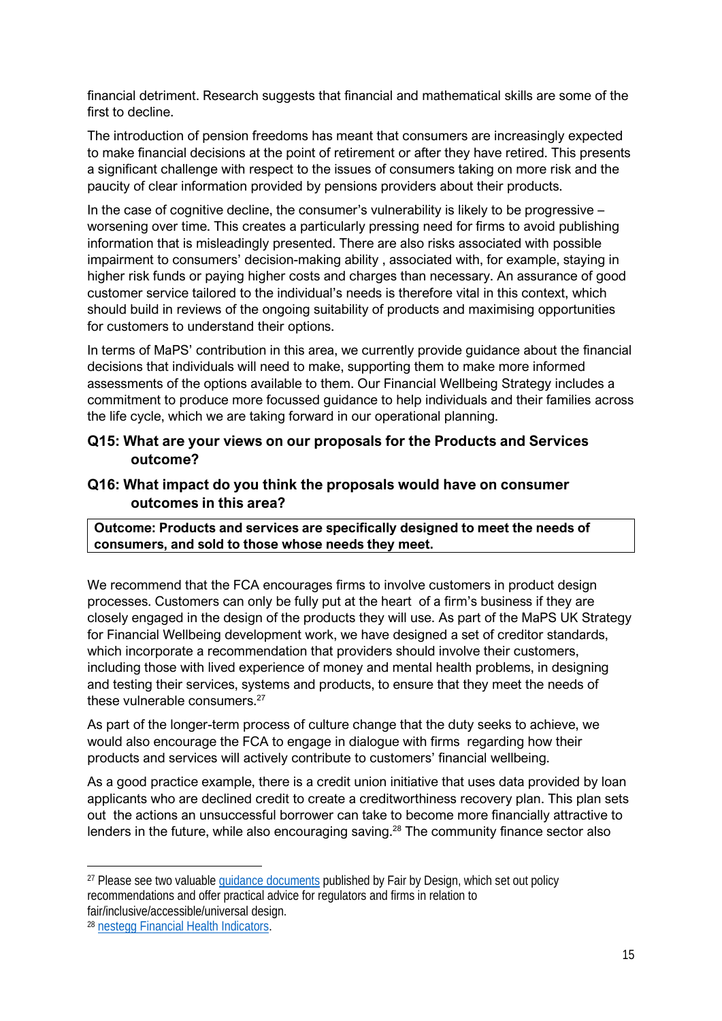financial detriment. Research suggests that financial and mathematical skills are some of the first to decline.

The introduction of pension freedoms has meant that consumers are increasingly expected to make financial decisions at the point of retirement or after they have retired. This presents a significant challenge with respect to the issues of consumers taking on more risk and the paucity of clear information provided by pensions providers about their products.

In the case of cognitive decline, the consumer's vulnerability is likely to be progressive – worsening over time. This creates a particularly pressing need for firms to avoid publishing information that is misleadingly presented. There are also risks associated with possible impairment to consumers' decision-making ability , associated with, for example, staying in higher risk funds or paying higher costs and charges than necessary. An assurance of good customer service tailored to the individual's needs is therefore vital in this context, which should build in reviews of the ongoing suitability of products and maximising opportunities for customers to understand their options.

In terms of MaPS' contribution in this area, we currently provide guidance about the financial decisions that individuals will need to make, supporting them to make more informed assessments of the options available to them. Our Financial Wellbeing Strategy includes a commitment to produce more focussed guidance to help individuals and their families across the life cycle, which we are taking forward in our operational planning.

## **Q15: What are your views on our proposals for the Products and Services outcome?**

## **Q16: What impact do you think the proposals would have on consumer outcomes in this area?**

**Outcome: Products and services are specifically designed to meet the needs of consumers, and sold to those whose needs they meet.**

We recommend that the FCA encourages firms to involve customers in product design processes. Customers can only be fully put at the heart of a firm's business if they are closely engaged in the design of the products they will use. As part of the MaPS UK Strategy for Financial Wellbeing development work, we have designed a set of creditor standards, which incorporate a recommendation that providers should involve their customers, including those with lived experience of money and mental health problems, in designing and testing their services, systems and products, to ensure that they meet the needs of these vulnerable consumers.<sup>27</sup>

As part of the longer-term process of culture change that the duty seeks to achieve, we would also encourage the FCA to engage in dialogue with firms regarding how their products and services will actively contribute to customers' financial wellbeing.

As a good practice example, there is a credit union initiative that uses data provided by loan applicants who are declined credit to create a creditworthiness recovery plan. This plan sets out the actions an unsuccessful borrower can take to become more financially attractive to lenders in the future, while also encouraging saving.<sup>28</sup> The community finance sector also

<sup>&</sup>lt;sup>27</sup> Please see two valuable quidance documents published by Fair by Design, which set out policy recommendations and offer practical advice for regulators and firms in relation to fair/inclusive/accessible/universal design.

<sup>28</sup> [nestegg Financial Health Indicators.](https://nestegg.ai/introducing-financial-health-indicators/)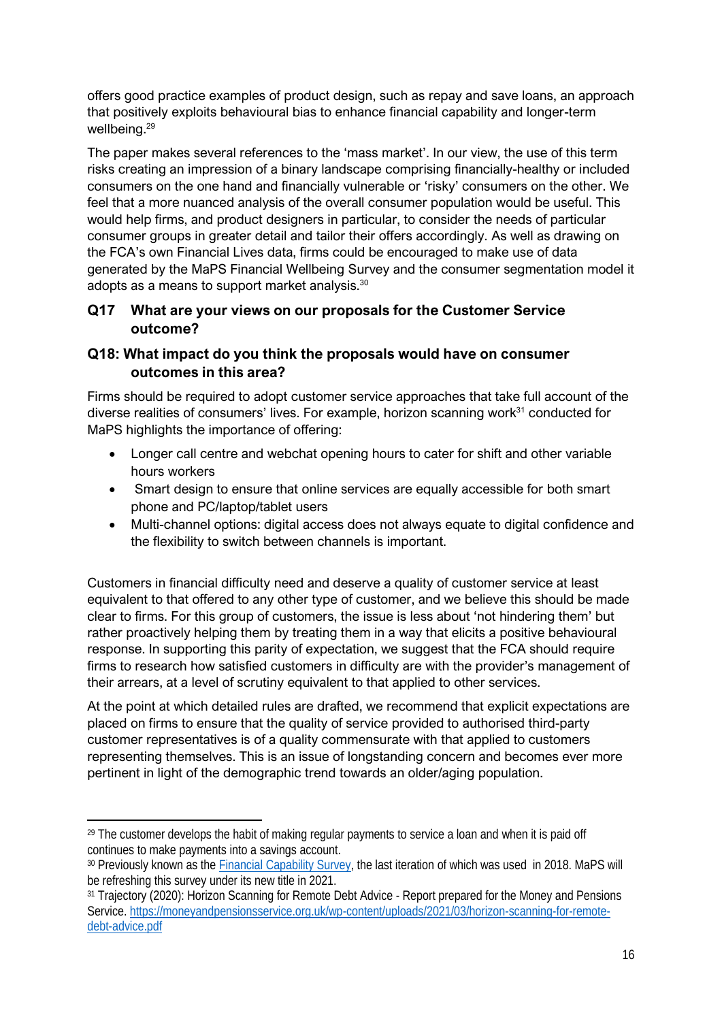offers good practice examples of product design, such as repay and save loans, an approach that positively exploits behavioural bias to enhance financial capability and longer-term wellbeing.<sup>29</sup>

The paper makes several references to the 'mass market'. In our view, the use of this term risks creating an impression of a binary landscape comprising financially-healthy or included consumers on the one hand and financially vulnerable or 'risky' consumers on the other. We feel that a more nuanced analysis of the overall consumer population would be useful. This would help firms, and product designers in particular, to consider the needs of particular consumer groups in greater detail and tailor their offers accordingly. As well as drawing on the FCA's own Financial Lives data, firms could be encouraged to make use of data generated by the MaPS Financial Wellbeing Survey and the consumer segmentation model it adopts as a means to support market analysis. $^{30}$ 

# **Q17 What are your views on our proposals for the Customer Service outcome?**

# **Q18: What impact do you think the proposals would have on consumer outcomes in this area?**

Firms should be required to adopt customer service approaches that take full account of the diverse realities of consumers' lives. For example, horizon scanning work $31$  conducted for MaPS highlights the importance of offering:

- Longer call centre and webchat opening hours to cater for shift and other variable hours workers
- Smart design to ensure that online services are equally accessible for both smart phone and PC/laptop/tablet users
- Multi-channel options: digital access does not always equate to digital confidence and the flexibility to switch between channels is important.

Customers in financial difficulty need and deserve a quality of customer service at least equivalent to that offered to any other type of customer, and we believe this should be made clear to firms. For this group of customers, the issue is less about 'not hindering them' but rather proactively helping them by treating them in a way that elicits a positive behavioural response. In supporting this parity of expectation, we suggest that the FCA should require firms to research how satisfied customers in difficulty are with the provider's management of their arrears, at a level of scrutiny equivalent to that applied to other services.

At the point at which detailed rules are drafted, we recommend that explicit expectations are placed on firms to ensure that the quality of service provided to authorised third-party customer representatives is of a quality commensurate with that applied to customers representing themselves. This is an issue of longstanding concern and becomes ever more pertinent in light of the demographic trend towards an older/aging population.

<sup>&</sup>lt;sup>29</sup> The customer develops the habit of making regular payments to service a loan and when it is paid off continues to make payments into a savings account.

<sup>30</sup> Previously known as the **Financial Capability Survey**, the last iteration of which was used in 2018. MaPS will be refreshing this survey under its new title in 2021.

<sup>&</sup>lt;sup>31</sup> Trajectory (2020): Horizon Scanning for Remote Debt Advice - Report prepared for the Money and Pensions Service. [https://moneyandpensionsservice.org.uk/wp-content/uploads/2021/03/horizon-scanning-for-remote](https://moneyandpensionsservice.org.uk/wp-content/uploads/2021/03/horizon-scanning-for-remote-debt-advice.pdf)[debt-advice.pdf](https://moneyandpensionsservice.org.uk/wp-content/uploads/2021/03/horizon-scanning-for-remote-debt-advice.pdf)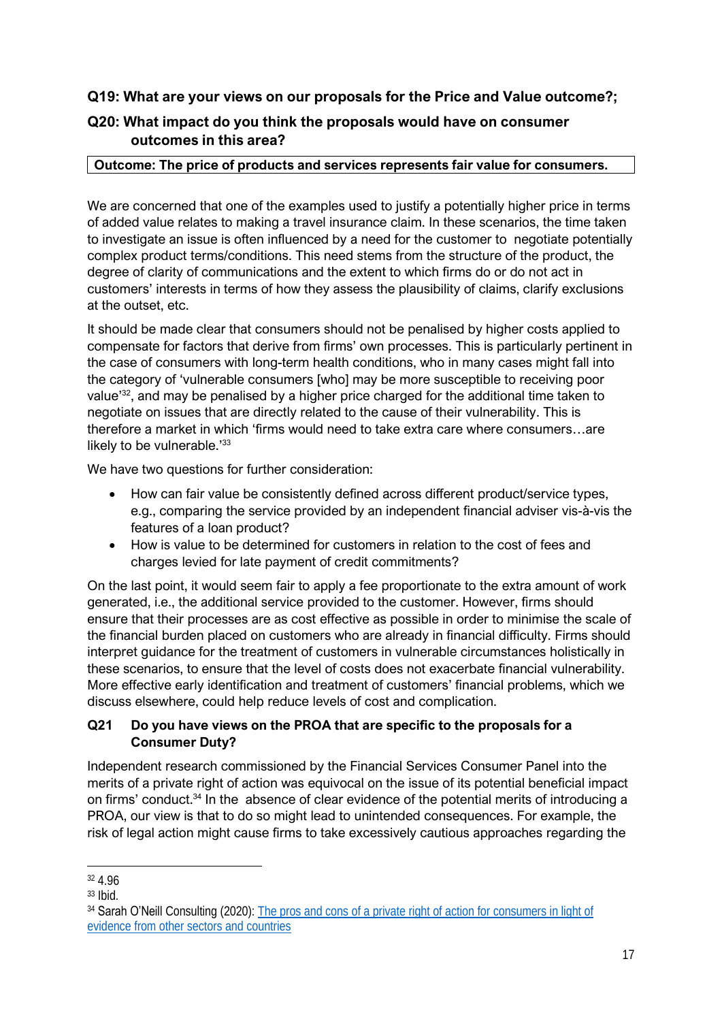## **Q19: What are your views on our proposals for the Price and Value outcome?;**

# **Q20: What impact do you think the proposals would have on consumer outcomes in this area?**

#### **Outcome: The price of products and services represents fair value for consumers.**

We are concerned that one of the examples used to justify a potentially higher price in terms of added value relates to making a travel insurance claim. In these scenarios, the time taken to investigate an issue is often influenced by a need for the customer to negotiate potentially complex product terms/conditions. This need stems from the structure of the product, the degree of clarity of communications and the extent to which firms do or do not act in customers' interests in terms of how they assess the plausibility of claims, clarify exclusions at the outset, etc.

It should be made clear that consumers should not be penalised by higher costs applied to compensate for factors that derive from firms' own processes. This is particularly pertinent in the case of consumers with long-term health conditions, who in many cases might fall into the category of 'vulnerable consumers [who] may be more susceptible to receiving poor value<sup>32</sup>, and may be penalised by a higher price charged for the additional time taken to negotiate on issues that are directly related to the cause of their vulnerability. This is therefore a market in which 'firms would need to take extra care where consumers…are likely to be vulnerable.'<sup>33</sup>

We have two questions for further consideration:

- How can fair value be consistently defined across different product/service types, e.g., comparing the service provided by an independent financial adviser vis-à-vis the features of a loan product?
- How is value to be determined for customers in relation to the cost of fees and charges levied for late payment of credit commitments?

On the last point, it would seem fair to apply a fee proportionate to the extra amount of work generated, i.e., the additional service provided to the customer. However, firms should ensure that their processes are as cost effective as possible in order to minimise the scale of the financial burden placed on customers who are already in financial difficulty. Firms should interpret guidance for the treatment of customers in vulnerable circumstances holistically in these scenarios, to ensure that the level of costs does not exacerbate financial vulnerability. More effective early identification and treatment of customers' financial problems, which we discuss elsewhere, could help reduce levels of cost and complication.

## **Q21 Do you have views on the PROA that are specific to the proposals for a Consumer Duty?**

Independent research commissioned by the Financial Services Consumer Panel into the merits of a private right of action was equivocal on the issue of its potential beneficial impact on firms' conduct.<sup>34</sup> In the absence of clear evidence of the potential merits of introducing a PROA, our view is that to do so might lead to unintended consequences. For example, the risk of legal action might cause firms to take excessively cautious approaches regarding the

<sup>32</sup> 4.96

<sup>33</sup> Ibid.

<sup>&</sup>lt;sup>34</sup> Sarah O'Neill Consulting (2020): The pros and cons of a private right of action for consumers in light of [evidence from other sectors and countries](https://www.fs-cp.org.uk/sites/default/files/fscp_report_final_version_23_july_20.pdf)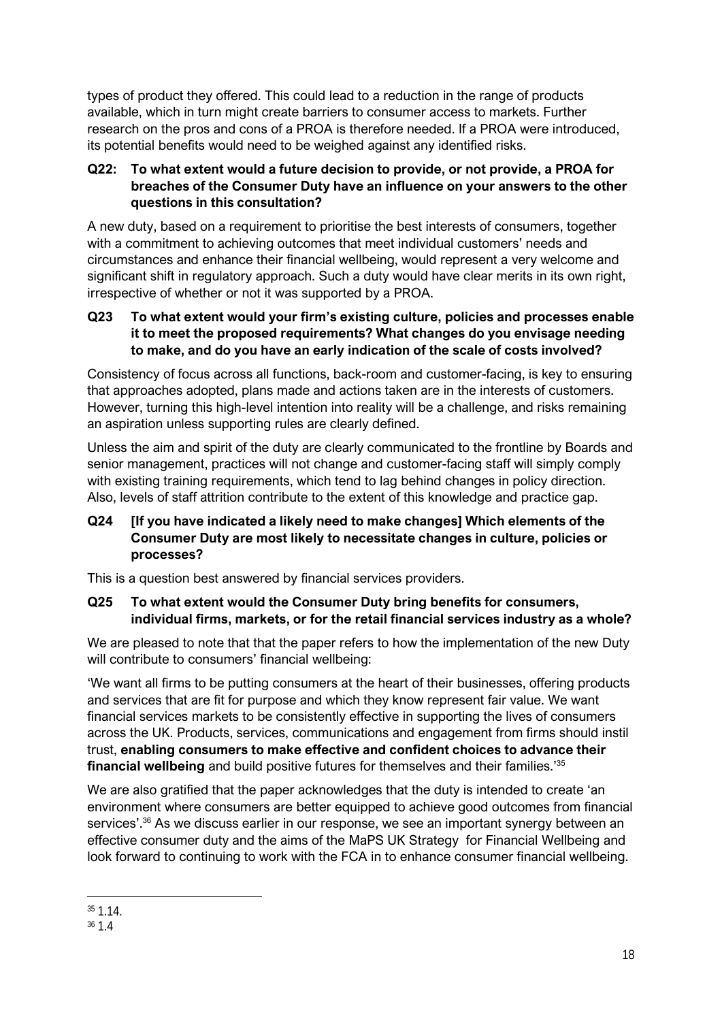types of product they offered. This could lead to a reduction in the range of products available, which in turn might create barriers to consumer access to markets. Further research on the pros and cons of a PROA is therefore needed. If a PROA were introduced, its potential benefits would need to be weighed against any identified risks.

## **Q22: To what extent would a future decision to provide, or not provide, a PROA for breaches of the Consumer Duty have an influence on your answers to the other questions in this consultation?**

A new duty, based on a requirement to prioritise the best interests of consumers, together with a commitment to achieving outcomes that meet individual customers' needs and circumstances and enhance their financial wellbeing, would represent a very welcome and significant shift in regulatory approach. Such a duty would have clear merits in its own right, irrespective of whether or not it was supported by a PROA.

#### **Q23 To what extent would your firm's existing culture, policies and processes enable it to meet the proposed requirements? What changes do you envisage needing to make, and do you have an early indication of the scale of costs involved?**

Consistency of focus across all functions, back-room and customer-facing, is key to ensuring that approaches adopted, plans made and actions taken are in the interests of customers. However, turning this high-level intention into reality will be a challenge, and risks remaining an aspiration unless supporting rules are clearly defined.

Unless the aim and spirit of the duty are clearly communicated to the frontline by Boards and senior management, practices will not change and customer-facing staff will simply comply with existing training requirements, which tend to lag behind changes in policy direction. Also, levels of staff attrition contribute to the extent of this knowledge and practice gap.

### **Q24 [If you have indicated a likely need to make changes] Which elements of the Consumer Duty are most likely to necessitate changes in culture, policies or processes?**

This is a question best answered by financial services providers.

#### **Q25 To what extent would the Consumer Duty bring benefits for consumers, individual firms, markets, or for the retail financial services industry as a whole?**

We are pleased to note that that the paper refers to how the implementation of the new Duty will contribute to consumers' financial wellbeing:

'We want all firms to be putting consumers at the heart of their businesses, offering products and services that are fit for purpose and which they know represent fair value. We want financial services markets to be consistently effective in supporting the lives of consumers across the UK. Products, services, communications and engagement from firms should instil trust, **enabling consumers to make effective and confident choices to advance their financial wellbeing** and build positive futures for themselves and their families.' 35

We are also gratified that the paper acknowledges that the duty is intended to create 'an environment where consumers are better equipped to achieve good outcomes from financial services'.<sup>36</sup> As we discuss earlier in our response, we see an important synergy between an effective consumer duty and the aims of the MaPS UK Strategy for Financial Wellbeing and look forward to continuing to work with the FCA in to enhance consumer financial wellbeing.

<sup>35</sup> 1.14.

<sup>36</sup> 1.4